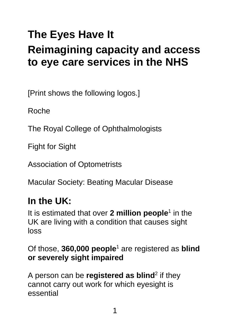# **The Eyes Have It Reimagining capacity and access to eye care services in the NHS**

[Print shows the following logos.]

Roche

The Royal College of Ophthalmologists

Fight for Sight

Association of Optometrists

Macular Society: Beating Macular Disease

## **In the UK:**

It is estimated that over 2 million people<sup>1</sup> in the UK are living with a condition that causes sight loss

Of those, **360,000 people**<sup>1</sup> are registered as **blind or severely sight impaired**

A person can be **registered as blind**<sup>2</sup> if they cannot carry out work for which eyesight is essential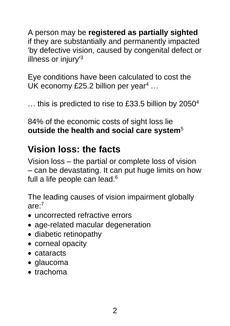A person may be **registered as partially sighted** if they are substantially and permanently impacted 'by defective vision, caused by congenital defect or illness or injury'<sup>3</sup>

Eye conditions have been calculated to cost the UK economy £25.2 billion per year<sup>4</sup> ...

... this is predicted to rise to £33.5 billion by 2050<sup>4</sup>

84% of the economic costs of sight loss lie **outside the health and social care system**<sup>5</sup>

### **Vision loss: the facts**

Vision loss – the partial or complete loss of vision – can be devastating. It can put huge limits on how full a life people can lead.<sup>6</sup>

The leading causes of vision impairment globally  $are^{-7}$ 

- uncorrected refractive errors
- age-related macular degeneration
- diabetic retinopathy
- corneal opacity
- cataracts
- glaucoma
- trachoma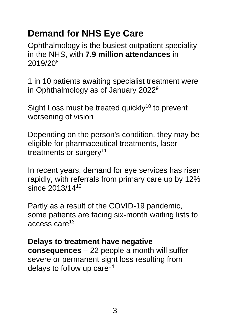### **Demand for NHS Eye Care**

Ophthalmology is the busiest outpatient speciality in the NHS, with **7.9 million attendances** in 2019/20<sup>8</sup>

1 in 10 patients awaiting specialist treatment were in Ophthalmology as of January 2022<sup>9</sup>

Sight Loss must be treated quickly<sup>10</sup> to prevent worsening of vision

Depending on the person's condition, they may be eligible for pharmaceutical treatments, laser treatments or surgery<sup>11</sup>

In recent years, demand for eye services has risen rapidly, with referrals from primary care up by 12% since 2013/14<sup>12</sup>

Partly as a result of the COVID-19 pandemic, some patients are facing six-month waiting lists to access care<sup>13</sup>

#### **Delays to treatment have negative**

**consequences** – 22 people a month will suffer severe or permanent sight loss resulting from delays to follow up care<sup>14</sup>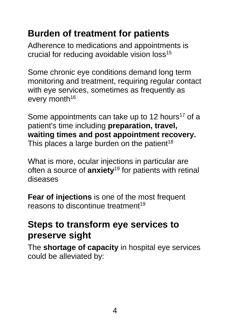### **Burden of treatment for patients**

Adherence to medications and appointments is crucial for reducing avoidable vision loss<sup>15</sup>

Some chronic eye conditions demand long term monitoring and treatment, requiring regular contact with eye services, sometimes as frequently as every month<sup>16</sup>

Some appointments can take up to 12 hours<sup>17</sup> of a patient's time including **preparation, travel, waiting times and post appointment recovery.** This places a large burden on the patient<sup>18</sup>

What is more, ocular injections in particular are often a source of **anxiety**<sup>19</sup> for patients with retinal diseases

**Fear of injections** is one of the most frequent reasons to discontinue treatment<sup>19</sup>

### **Steps to transform eye services to preserve sight**

The **shortage of capacity** in hospital eye services could be alleviated by: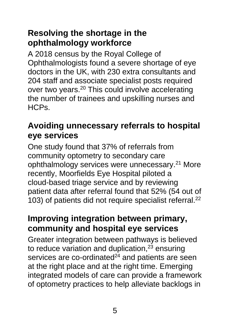#### **Resolving the shortage in the ophthalmology workforce**

A 2018 census by the Royal College of Ophthalmologists found a severe shortage of eye doctors in the UK, with 230 extra consultants and 204 staff and associate specialist posts required over two years.<sup>20</sup> This could involve accelerating the number of trainees and upskilling nurses and HCPs.

#### **Avoiding unnecessary referrals to hospital eye services**

One study found that 37% of referrals from community optometry to secondary care ophthalmology services were unnecessary.<sup>21</sup> More recently, Moorfields Eye Hospital piloted a cloud-based triage service and by reviewing patient data after referral found that 52% (54 out of 103) of patients did not require specialist referral.<sup>22</sup>

#### **Improving integration between primary, community and hospital eye services**

Greater integration between pathways is believed to reduce variation and duplication, $23$  ensuring services are co-ordinated<sup>24</sup> and patients are seen at the right place and at the right time. Emerging integrated models of care can provide a framework of optometry practices to help alleviate backlogs in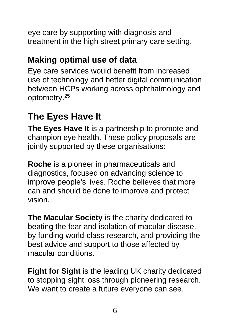eye care by supporting with diagnosis and treatment in the high street primary care setting.

### **Making optimal use of data**

Eye care services would benefit from increased use of technology and better digital communication between HCPs working across ophthalmology and optometry.<sup>25</sup>

### **The Eyes Have It**

**The Eyes Have It** is a partnership to promote and champion eye health. These policy proposals are jointly supported by these organisations:

**Roche** is a pioneer in pharmaceuticals and diagnostics, focused on advancing science to improve people's lives. Roche believes that more can and should be done to improve and protect vision.

**The Macular Society** is the charity dedicated to beating the fear and isolation of macular disease, by funding world-class research, and providing the best advice and support to those affected by macular conditions.

**Fight for Sight** is the leading UK charity dedicated to stopping sight loss through pioneering research. We want to create a future everyone can see.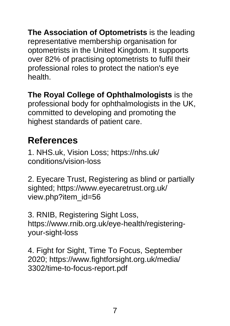**The Association of Optometrists** is the leading representative membership organisation for optometrists in the United Kingdom. It supports over 82% of practising optometrists to fulfil their professional roles to protect the nation's eye health.

**The Royal College of Ophthalmologists** is the professional body for ophthalmologists in the UK, committed to developing and promoting the highest standards of patient care.

### **References**

1. [NHS.uk,](http://nhs.uk/) Vision Loss; [https://nhs.uk/](https://nhs.uk/%0bconditions/vision-loss) [conditions/vision-loss](https://nhs.uk/%0bconditions/vision-loss)

2. Eyecare Trust, Registering as blind or partially sighted; [https://www.eyecaretrust.org.uk/](https://www.eyecaretrust.org.uk/%0bview.php?item_id=56) [view.php?item\\_id=56](https://www.eyecaretrust.org.uk/%0bview.php?item_id=56)

3. RNIB, Registering Sight Loss, [https://www.rnib.org.uk/eye-health/registering](https://www.rnib.org.uk/eye-health/registering-%0byour-sight-loss)[your-sight-loss](https://www.rnib.org.uk/eye-health/registering-%0byour-sight-loss)

4. Fight for Sight, Time To Focus, September 2020; [https://www.fightforsight.org.uk/media/](https://www.fightforsight.org.uk/media/%0b3302/time-to-focus-report.pdf) [3302/time-to-focus-report.pdf](https://www.fightforsight.org.uk/media/%0b3302/time-to-focus-report.pdf)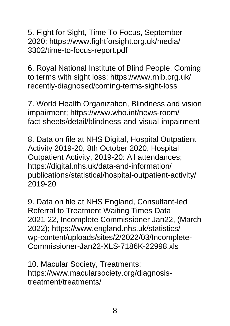5. Fight for Sight, Time To Focus, September 2020; [https://www.fightforsight.org.uk/media/](https://www.fightforsight.org.uk/media/%0b3302/time-to-focus-report.pdf) [3302/time-to-focus-report.pdf](https://www.fightforsight.org.uk/media/%0b3302/time-to-focus-report.pdf)

6. Royal National Institute of Blind People, Coming to terms with sight loss; [https://www.rnib.org.uk/](https://www.rnib.org.uk/%0brecently-diagnosed/coming-terms-sight-loss) [recently-diagnosed/coming-terms-sight-loss](https://www.rnib.org.uk/%0brecently-diagnosed/coming-terms-sight-loss)

7. World Health Organization, Blindness and vision impairment; [https://www.who.int/news-room/](https://www.who.int/news-room/%0bfact-sheets/detail/blindness-and-visual-impairment) [fact-sheets/detail/blindness-and-visual-impairment](https://www.who.int/news-room/%0bfact-sheets/detail/blindness-and-visual-impairment)

8. Data on file at NHS Digital, Hospital Outpatient Activity 2019-20, 8th October 2020, Hospital Outpatient Activity, 2019-20: All attendances; [https://digital.nhs.uk/data-and-information/](https://digital.nhs.uk/data-and-information/%0bpublications/statistical/hospital-outpatient-activity/%0b2019-20) [publications/statistical/hospital-outpatient-activity/](https://digital.nhs.uk/data-and-information/%0bpublications/statistical/hospital-outpatient-activity/%0b2019-20) [2019-20](https://digital.nhs.uk/data-and-information/%0bpublications/statistical/hospital-outpatient-activity/%0b2019-20)

9. Data on file at NHS England, Consultant-led Referral to Treatment Waiting Times Data 2021-22, Incomplete Commissioner Jan22, (March 2022); [https://www.england.nhs.uk/statistics/](https://www.england.nhs.uk/statistics/%0bwp-content/uploads/sites/2/2022/03/Incomplete-%0bCommissioner-Jan22-XLS-7186K-22998.xls) [wp-content/uploads/sites/2/2022/03/Incomplete-](https://www.england.nhs.uk/statistics/%0bwp-content/uploads/sites/2/2022/03/Incomplete-%0bCommissioner-Jan22-XLS-7186K-22998.xls)[Commissioner-Jan22-XLS-7186K-22998.xls](https://www.england.nhs.uk/statistics/%0bwp-content/uploads/sites/2/2022/03/Incomplete-%0bCommissioner-Jan22-XLS-7186K-22998.xls)

10. Macular Society, Treatments; [https://www.macularsociety.org/diagnosis](https://www.macularsociety.org/diagnosis-%0btreatment/treatments/)[treatment/treatments/](https://www.macularsociety.org/diagnosis-%0btreatment/treatments/)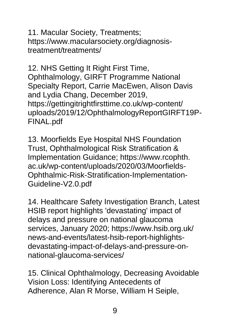11. Macular Society, Treatments; [https://www.macularsociety.org/diagnosis](https://www.macularsociety.org/diagnosis-%0btreatment/treatments/)[treatment/treatments/](https://www.macularsociety.org/diagnosis-%0btreatment/treatments/)

12. NHS Getting It Right First Time, Ophthalmology, GIRFT Programme National Specialty Report, Carrie MacEwen, Alison Davis and Lydia Chang, December 2019, [https://gettingitrightfirsttime.co.uk/wp-content/](https://gettingitrightfirsttime.co.uk/wp-content/%0buploads/2019/12/OphthalmologyReportGIRFT19P-FINAL.pdf) [uploads/2019/12/OphthalmologyReportGIRFT19P-](https://gettingitrightfirsttime.co.uk/wp-content/%0buploads/2019/12/OphthalmologyReportGIRFT19P-FINAL.pdf)[FINAL.pdf](https://gettingitrightfirsttime.co.uk/wp-content/%0buploads/2019/12/OphthalmologyReportGIRFT19P-FINAL.pdf)

13. Moorfields Eye Hospital NHS Foundation Trust, Ophthalmological Risk Stratification & Implementation Guidance; https://www.rcophth. ac.uk/wp-content/uploads/2020/03/Moorfields-Ophthalmic-Risk-Stratification-Implementation-Guideline-V2.0.pdf

14. Healthcare Safety Investigation Branch, Latest HSIB report highlights 'devastating' impact of delays and pressure on national glaucoma services, January 2020; [https://www.hsib.org.uk/](https://www.hsib.org.uk/%0bnews-and-events/latest-hsib-report-highlights-%0bdevastating-impact-of-delays-and-pressure-on-%0bnational-glaucoma-services/) [news-and-events/latest-hsib-report-highlights](https://www.hsib.org.uk/%0bnews-and-events/latest-hsib-report-highlights-%0bdevastating-impact-of-delays-and-pressure-on-%0bnational-glaucoma-services/)[devastating-impact-of-delays-and-pressure-on](https://www.hsib.org.uk/%0bnews-and-events/latest-hsib-report-highlights-%0bdevastating-impact-of-delays-and-pressure-on-%0bnational-glaucoma-services/)[national-glaucoma-services/](https://www.hsib.org.uk/%0bnews-and-events/latest-hsib-report-highlights-%0bdevastating-impact-of-delays-and-pressure-on-%0bnational-glaucoma-services/)

15. Clinical Ophthalmology, Decreasing Avoidable Vision Loss: Identifying Antecedents of Adherence, Alan R Morse, William H Seiple,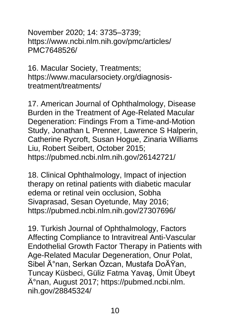November 2020; 14: 3735–3739; [https://www.ncbi.nlm.nih.gov/pmc/articles/](https://www.ncbi.nlm.nih.gov/pmc/articles/%0bPMC7648526/) [PMC7648526/](https://www.ncbi.nlm.nih.gov/pmc/articles/%0bPMC7648526/)

16. Macular Society, Treatments; [https://www.macularsociety.org/diagnosis](https://www.macularsociety.org/diagnosis-%0btreatment/treatments/)[treatment/treatments/](https://www.macularsociety.org/diagnosis-%0btreatment/treatments/)

17. American Journal of Ophthalmology, Disease Burden in the Treatment of Age-Related Macular Degeneration: Findings From a Time-and-Motion Study, Jonathan L Prenner, Lawrence S Halperin, Catherine Rycroft, Susan Hogue, Zinaria Williams Liu, Robert Seibert, October 2015; [https://pubmed.ncbi.nlm.nih.gov/26142721/](http://https/pubmed.ncbi.nlm.nih.gov/26142721/)

18. Clinical Ophthalmology, Impact of injection therapy on retinal patients with diabetic macular edema or retinal vein occlusion, Sobha Sivaprasad, Sesan Oyetunde, May 2016; [https://pubmed.ncbi.nlm.nih.gov/27307696/](http://https/pubmed.ncbi.nlm.nih.gov/27307696/)

19. Turkish Journal of Ophthalmology, Factors Affecting Compliance to Intravitreal Anti-Vascular Endothelial Growth Factor Therapy in Patients with Age-Related Macular Degeneration, Onur Polat, Sibel İnan, Serkan Özcan, Mustafa DoÄŸan, Tuncay Küsbeci, Güliz Fatma Yavaş, Ümit Übeyt İnan, August 2017; https://pubmed.ncbi.nlm. nih.gov/28845324/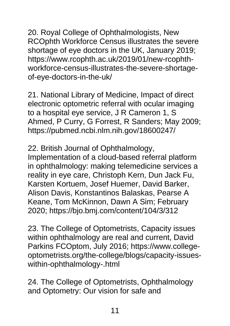20. Royal College of Ophthalmologists, New RCOphth Workforce Census illustrates the severe shortage of eye doctors in the UK, January 2019; [https://www.rcophth.ac.uk/2019/01/new-rcophth](https://www.rcophth.ac.uk/2019/01/new-rcophth-%0bworkforce-census-illustrates-the-severe-shortage-%0bof-eye-doctors-in-the-uk/)[workforce-census-illustrates-the-severe-shortage](https://www.rcophth.ac.uk/2019/01/new-rcophth-%0bworkforce-census-illustrates-the-severe-shortage-%0bof-eye-doctors-in-the-uk/)[of-eye-doctors-in-the-uk/](https://www.rcophth.ac.uk/2019/01/new-rcophth-%0bworkforce-census-illustrates-the-severe-shortage-%0bof-eye-doctors-in-the-uk/)

21. National Library of Medicine, Impact of direct electronic optometric referral with ocular imaging to a hospital eye service, J R Cameron 1, S Ahmed, P Curry, G Forrest, R Sanders; May 2009; [https://pubmed.ncbi.nlm.nih.gov/18600247/](http://https/pubmed.ncbi.nlm.nih.gov/18600247/)

22. British Journal of Ophthalmology, Implementation of a cloud-based referral platform in ophthalmology: making telemedicine services a reality in eye care, Christoph Kern, Dun Jack Fu, Karsten Kortuem, Josef Huemer, David Barker, Alison Davis, Konstantinos Balaskas, Pearse A Keane, Tom McKinnon, Dawn A Sim; February 2020; [https://bjo.bmj.com/content/104/3/312](http://https/bjo.bmj.com/content/104/3/312)

23. The College of Optometrists, Capacity issues within ophthalmology are real and current, David Parkins FCOptom, July 2016; https://www.collegeoptometrists.org/the-college/blogs/capacity-issueswithin-ophthalmology-.html

24. The College of Optometrists, Ophthalmology and Optometry: Our vision for safe and